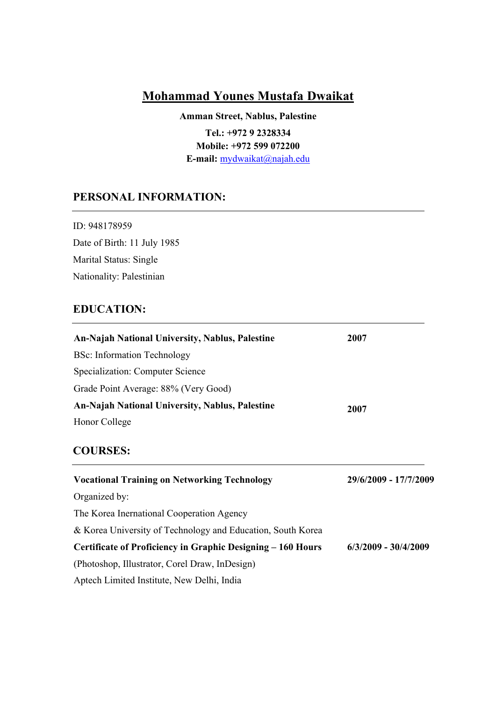# **Mohammad Younes Mustafa Dwaikat**

**Amman Street, Nablus, Palestine Tel.: +972 9 2328334 Mobile: +972 599 072200 E-mail:** [mydwaikat@najah.edu](mailto:mydwaikat@najah.edu)

## **PERSONAL INFORMATION:**

ID: 948178959 Date of Birth: 11 July 1985 Marital Status: Single Nationality: Palestinian

# **EDUCATION:**

| An-Najah National University, Nablus, Palestine<br>2007     |                        |  |
|-------------------------------------------------------------|------------------------|--|
| <b>BSc:</b> Information Technology                          |                        |  |
| Specialization: Computer Science                            |                        |  |
| Grade Point Average: 88% (Very Good)                        |                        |  |
| An-Najah National University, Nablus, Palestine             | 2007                   |  |
| Honor College                                               |                        |  |
| <b>COURSES:</b>                                             |                        |  |
| <b>Vocational Training on Networking Technology</b>         | 29/6/2009 - 17/7/2009  |  |
| Organized by:                                               |                        |  |
| The Korea Inernational Cooperation Agency                   |                        |  |
| & Korea University of Technology and Education, South Korea |                        |  |
| Certificate of Proficiency in Graphic Designing – 160 Hours | $6/3/2009 - 30/4/2009$ |  |
| (Photoshop, Illustrator, Corel Draw, InDesign)              |                        |  |
|                                                             |                        |  |

Aptech Limited Institute, New Delhi, India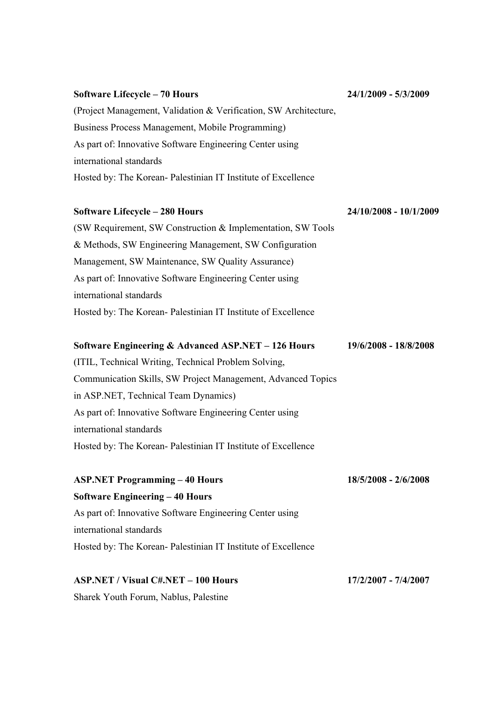# **Software Lifecycle – 70 Hours** (Project Management, Validation & Verification, SW Architecture, Business Process Management, Mobile Programming) As part of: Innovative Software Engineering Center using international standards **24/1/2009 - 5/3/2009**

Hosted by: The Korean- Palestinian IT Institute of Excellence

#### **Software Lifecycle – 280 Hours**

**24/10/2008 - 10/1/2009**

(SW Requirement, SW Construction & Implementation, SW Tools & Methods, SW Engineering Management, SW Configuration Management, SW Maintenance, SW Quality Assurance) As part of: Innovative Software Engineering Center using international standards Hosted by: The Korean- Palestinian IT Institute of Excellence

#### **Software Engineering & Advanced ASP.NET – 126 Hours 19/6/2008 - 18/8/2008**

(ITIL, Technical Writing, Technical Problem Solving, Communication Skills, SW Project Management, Advanced Topics in ASP.NET, Technical Team Dynamics) As part of: Innovative Software Engineering Center using international standards Hosted by: The Korean- Palestinian IT Institute of Excellence

**ASP.NET Programming – 40 Hours Software Engineering – 40 Hours** As part of: Innovative Software Engineering Center using international standards Hosted by: The Korean- Palestinian IT Institute of Excellence **18/5/2008 - 2/6/2008**

#### **ASP.NET / Visual C#.NET – 100 Hours 17/2/2007 - 7/4/2007**

Sharek Youth Forum, Nablus, Palestine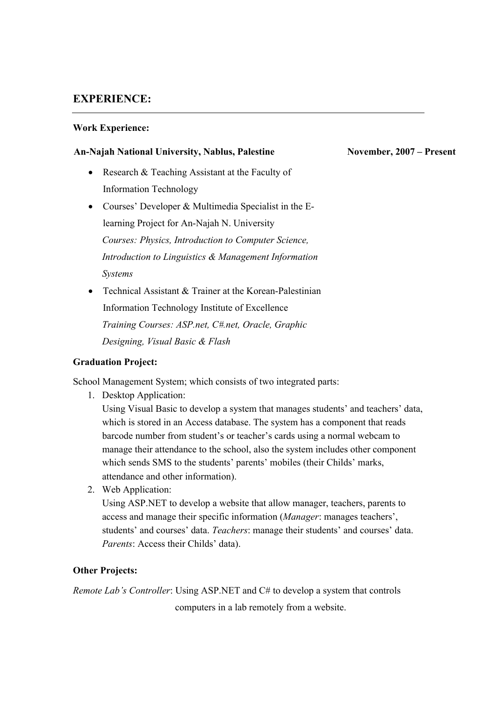## **EXPERIENCE:**

## **Work Experience:**

## **An-Najah National University, Nablus, Palestine**

- Research & Teaching Assistant at the Faculty of Information Technology
- Courses' Developer & Multimedia Specialist in the Elearning Project for An-Najah N. University *Courses: Physics, Introduction to Computer Science, Introduction to Linguistics & Management Information Systems*
- Technical Assistant & Trainer at the Korean-Palestinian Information Technology Institute of Excellence *Training Courses: ASP.net, C#.net, Oracle, Graphic Designing, Visual Basic & Flash*

## **Graduation Project:**

School Management System; which consists of two integrated parts:

1. Desktop Application:

Using Visual Basic to develop a system that manages students' and teachers' data, which is stored in an Access database. The system has a component that reads barcode number from student's or teacher's cards using a normal webcam to manage their attendance to the school, also the system includes other component which sends SMS to the students' parents' mobiles (their Childs' marks, attendance and other information).

2. Web Application:

Using ASP.NET to develop a website that allow manager, teachers, parents to access and manage their specific information (*Manager*: manages teachers', students' and courses' data. *Teachers*: manage their students' and courses' data. *Parents*: Access their Childs' data).

## **Other Projects:**

*Remote Lab's Controller*: Using ASP.NET and C# to develop a system that controls computers in a lab remotely from a website.

### **November, 2007 – Present**